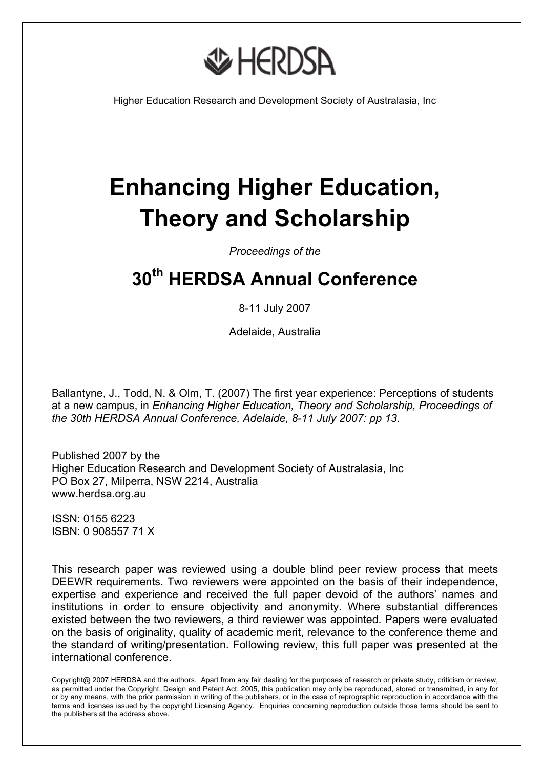

Higher Education Research and Development Society of Australasia, Inc

# **Enhancing Higher Education, Theory and Scholarship**

*Proceedings of the* 

# **30th HERDSA Annual Conference**

### 8-11 July 2007

Adelaide, Australia

Ballantyne, J., Todd, N. & Olm, T. (2007) The first year experience: Perceptions of students at a new campus, in *Enhancing Higher Education, Theory and Scholarship, Proceedings of the 30th HERDSA Annual Conference, Adelaide, 8-11 July 2007: pp 13.*

Published 2007 by the Higher Education Research and Development Society of Australasia, Inc PO Box 27, Milperra, NSW 2214, Australia www.herdsa.org.au

ISSN: 0155 6223 ISBN: 0 908557 71 X

This research paper was reviewed using a double blind peer review process that meets DEEWR requirements. Two reviewers were appointed on the basis of their independence, expertise and experience and received the full paper devoid of the authors' names and institutions in order to ensure objectivity and anonymity. Where substantial differences existed between the two reviewers, a third reviewer was appointed. Papers were evaluated on the basis of originality, quality of academic merit, relevance to the conference theme and the standard of writing/presentation. Following review, this full paper was presented at the international conference.

Copyright@ 2007 HERDSA and the authors. Apart from any fair dealing for the purposes of research or private study, criticism or review, as permitted under the Copyright, Design and Patent Act, 2005, this publication may only be reproduced, stored or transmitted, in any for or by any means, with the prior permission in writing of the publishers, or in the case of reprographic reproduction in accordance with the terms and licenses issued by the copyright Licensing Agency. Enquiries concerning reproduction outside those terms should be sent to the publishers at the address above.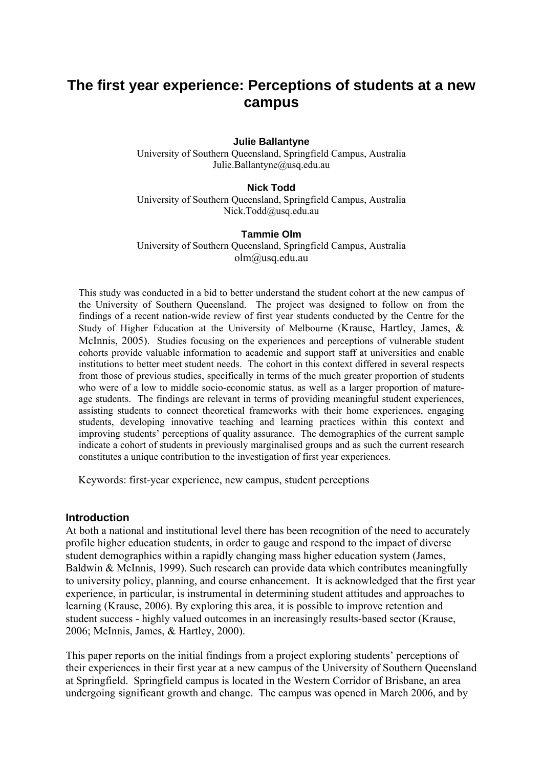# **The first year experience: Perceptions of students at a new campus**

#### **Julie Ballantyne**

University of Southern Queensland, Springfield Campus, Australia Julie.Ballantyne@usq.edu.au

#### **Nick Todd**

University of Southern Queensland, Springfield Campus, Australia Nick.Todd@usq.edu.au

#### **Tammie Olm**

University of Southern Queensland, Springfield Campus, Australia olm@usq.edu.au

This study was conducted in a bid to better understand the student cohort at the new campus of the University of Southern Queensland. The project was designed to follow on from the findings of a recent nation-wide review of first year students conducted by the Centre for the Study of Higher Education at the University of Melbourne (Krause, Hartley, James, & McInnis, 2005). Studies focusing on the experiences and perceptions of vulnerable student cohorts provide valuable information to academic and support staff at universities and enable institutions to better meet student needs. The cohort in this context differed in several respects from those of previous studies, specifically in terms of the much greater proportion of students who were of a low to middle socio-economic status, as well as a larger proportion of matureage students. The findings are relevant in terms of providing meaningful student experiences, assisting students to connect theoretical frameworks with their home experiences, engaging students, developing innovative teaching and learning practices within this context and improving students' perceptions of quality assurance. The demographics of the current sample indicate a cohort of students in previously marginalised groups and as such the current research constitutes a unique contribution to the investigation of first year experiences.

Keywords: first-year experience, new campus, student perceptions

#### **Introduction**

At both a national and institutional level there has been recognition of the need to accurately profile higher education students, in order to gauge and respond to the impact of diverse student demographics within a rapidly changing mass higher education system (James, Baldwin & McInnis, 1999). Such research can provide data which contributes meaningfully to university policy, planning, and course enhancement. It is acknowledged that the first year experience, in particular, is instrumental in determining student attitudes and approaches to learning (Krause, 2006). By exploring this area, it is possible to improve retention and student success - highly valued outcomes in an increasingly results-based sector (Krause, 2006; McInnis, James, & Hartley, 2000).

This paper reports on the initial findings from a project exploring students' perceptions of their experiences in their first year at a new campus of the University of Southern Queensland at Springfield. Springfield campus is located in the Western Corridor of Brisbane, an area undergoing significant growth and change. The campus was opened in March 2006, and by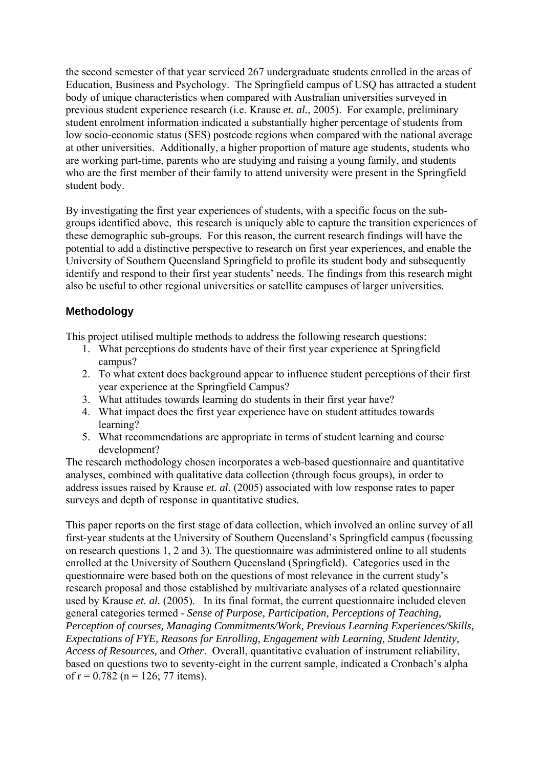the second semester of that year serviced 267 undergraduate students enrolled in the areas of Education, Business and Psychology. The Springfield campus of USQ has attracted a student body of unique characteristics when compared with Australian universities surveyed in previous student experience research (i.e. Krause *et. al.*, 2005). For example, preliminary student enrolment information indicated a substantially higher percentage of students from low socio-economic status (SES) postcode regions when compared with the national average at other universities. Additionally, a higher proportion of mature age students, students who are working part-time, parents who are studying and raising a young family, and students who are the first member of their family to attend university were present in the Springfield student body.

By investigating the first year experiences of students, with a specific focus on the subgroups identified above, this research is uniquely able to capture the transition experiences of these demographic sub-groups. For this reason, the current research findings will have the potential to add a distinctive perspective to research on first year experiences, and enable the University of Southern Queensland Springfield to profile its student body and subsequently identify and respond to their first year students' needs. The findings from this research might also be useful to other regional universities or satellite campuses of larger universities.

#### **Methodology**

This project utilised multiple methods to address the following research questions:

- 1. What perceptions do students have of their first year experience at Springfield campus?
- 2. To what extent does background appear to influence student perceptions of their first year experience at the Springfield Campus?
- 3. What attitudes towards learning do students in their first year have?
- 4. What impact does the first year experience have on student attitudes towards learning?
- 5. What recommendations are appropriate in terms of student learning and course development?

The research methodology chosen incorporates a web-based questionnaire and quantitative analyses, combined with qualitative data collection (through focus groups), in order to address issues raised by Krause *et. al.* (2005) associated with low response rates to paper surveys and depth of response in quantitative studies.

This paper reports on the first stage of data collection, which involved an online survey of all first-year students at the University of Southern Queensland's Springfield campus (focussing on research questions 1, 2 and 3). The questionnaire was administered online to all students enrolled at the University of Southern Queensland (Springfield). Categories used in the questionnaire were based both on the questions of most relevance in the current study's research proposal and those established by multivariate analyses of a related questionnaire used by Krause *et. al.* (2005). In its final format, the current questionnaire included eleven general categories termed - *Sense of Purpose, Participation, Perceptions of Teaching, Perception of courses, Managing Commitments/Work, Previous Learning Experiences/Skills, Expectations of FYE, Reasons for Enrolling, Engagement with Learning, Student Identity, Access of Resources,* and *Other*. Overall, quantitative evaluation of instrument reliability, based on questions two to seventy-eight in the current sample, indicated a Cronbach's alpha of  $r = 0.782$  ( $n = 126$ ; 77 items).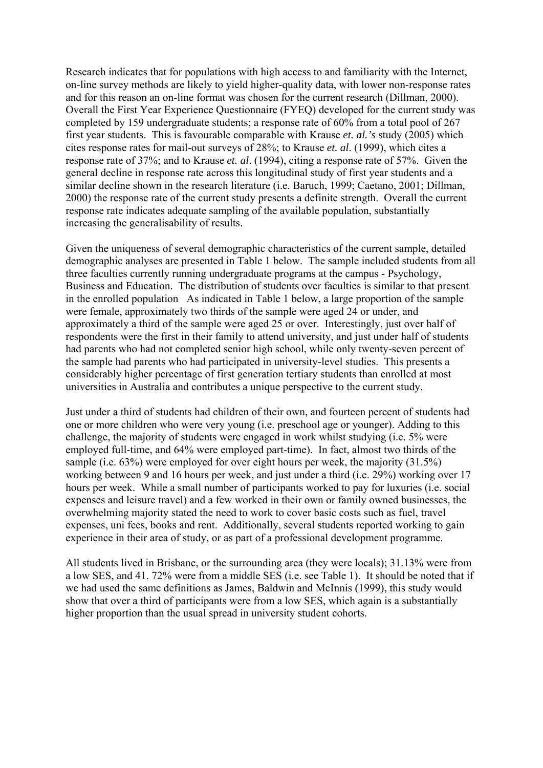Research indicates that for populations with high access to and familiarity with the Internet, on-line survey methods are likely to yield higher-quality data, with lower non-response rates and for this reason an on-line format was chosen for the current research (Dillman, 2000). Overall the First Year Experience Questionnaire (FYEQ) developed for the current study was completed by 159 undergraduate students; a response rate of 60% from a total pool of 267 first year students. This is favourable comparable with Krause *et. al.'s* study (2005) which cites response rates for mail-out surveys of 28%; to Krause *et. al*. (1999), which cites a response rate of 37%; and to Krause *et. al*. (1994), citing a response rate of 57%. Given the general decline in response rate across this longitudinal study of first year students and a similar decline shown in the research literature (i.e. Baruch, 1999; Caetano, 2001; Dillman, 2000) the response rate of the current study presents a definite strength. Overall the current response rate indicates adequate sampling of the available population, substantially increasing the generalisability of results.

Given the uniqueness of several demographic characteristics of the current sample, detailed demographic analyses are presented in Table 1 below. The sample included students from all three faculties currently running undergraduate programs at the campus - Psychology, Business and Education. The distribution of students over faculties is similar to that present in the enrolled population As indicated in Table 1 below, a large proportion of the sample were female, approximately two thirds of the sample were aged 24 or under, and approximately a third of the sample were aged 25 or over. Interestingly, just over half of respondents were the first in their family to attend university, and just under half of students had parents who had not completed senior high school, while only twenty-seven percent of the sample had parents who had participated in university-level studies. This presents a considerably higher percentage of first generation tertiary students than enrolled at most universities in Australia and contributes a unique perspective to the current study.

Just under a third of students had children of their own, and fourteen percent of students had one or more children who were very young (i.e. preschool age or younger). Adding to this challenge, the majority of students were engaged in work whilst studying (i.e. 5% were employed full-time, and 64% were employed part-time). In fact, almost two thirds of the sample (i.e. 63%) were employed for over eight hours per week, the majority (31.5%) working between 9 and 16 hours per week, and just under a third (i.e. 29%) working over 17 hours per week. While a small number of participants worked to pay for luxuries (i.e. social expenses and leisure travel) and a few worked in their own or family owned businesses, the overwhelming majority stated the need to work to cover basic costs such as fuel, travel expenses, uni fees, books and rent. Additionally, several students reported working to gain experience in their area of study, or as part of a professional development programme.

All students lived in Brisbane, or the surrounding area (they were locals); 31.13% were from a low SES, and 41. 72% were from a middle SES (i.e. see Table 1). It should be noted that if we had used the same definitions as James, Baldwin and McInnis (1999), this study would show that over a third of participants were from a low SES, which again is a substantially higher proportion than the usual spread in university student cohorts.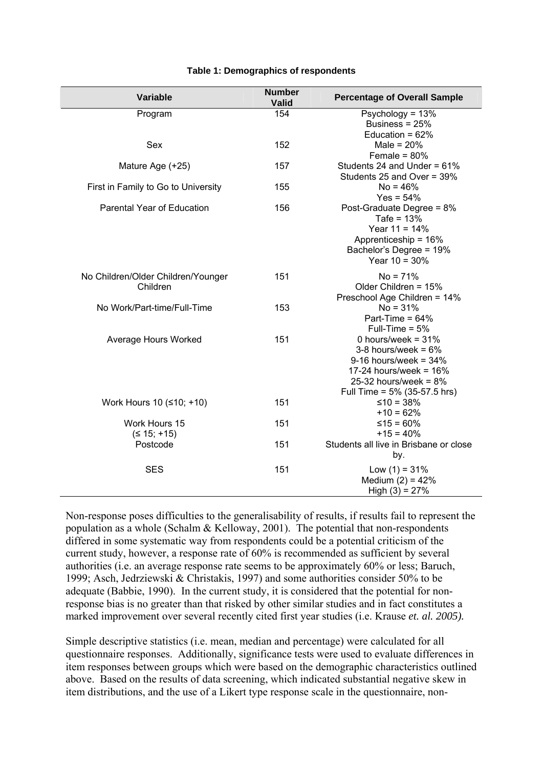| <b>Variable</b>                                | <b>Number</b><br><b>Valid</b> | <b>Percentage of Overall Sample</b>                                                                                                                                  |
|------------------------------------------------|-------------------------------|----------------------------------------------------------------------------------------------------------------------------------------------------------------------|
| Program                                        | 154                           | Psychology = $13%$<br>Business = $25%$<br>Education = $62%$                                                                                                          |
| Sex                                            | 152                           | Male = $20%$<br>Female = $80\%$                                                                                                                                      |
| Mature Age (+25)                               | 157                           | Students 24 and Under = $61\%$<br>Students 25 and Over = 39%                                                                                                         |
| First in Family to Go to University            | 155                           | $No = 46%$<br>$Yes = 54\%$                                                                                                                                           |
| <b>Parental Year of Education</b>              | 156                           | Post-Graduate Degree = 8%<br>Tafe = $13%$<br>Year $11 = 14%$<br>Apprenticeship = 16%<br>Bachelor's Degree = 19%<br>Year $10 = 30%$                                   |
| No Children/Older Children/Younger<br>Children | 151                           | $No = 71%$<br>Older Children = 15%<br>Preschool Age Children = 14%                                                                                                   |
| No Work/Part-time/Full-Time                    | 153                           | $No = 31%$<br>Part-Time = $64%$<br>Full-Time = $5%$                                                                                                                  |
| Average Hours Worked                           | 151                           | 0 hours/week = $31\%$<br>3-8 hours/week = $6\%$<br>9-16 hours/week = $34\%$<br>17-24 hours/week = $16\%$<br>25-32 hours/week = $8\%$<br>Full Time = 5% (35-57.5 hrs) |
| Work Hours 10 (≤10; +10)                       | 151                           | ≤10 = 38%<br>$+10 = 62%$                                                                                                                                             |
| Work Hours 15<br>$(515; +15)$                  | 151                           | ≤15 = 60%<br>$+15 = 40%$                                                                                                                                             |
| Postcode                                       | 151                           | Students all live in Brisbane or close<br>by.                                                                                                                        |
| <b>SES</b>                                     | 151                           | Low $(1) = 31%$<br>Medium $(2) = 42%$<br>High $(3) = 27%$                                                                                                            |

#### **Table 1: Demographics of respondents**

Non-response poses difficulties to the generalisability of results, if results fail to represent the population as a whole (Schalm & Kelloway, 2001). The potential that non-respondents differed in some systematic way from respondents could be a potential criticism of the current study, however, a response rate of 60% is recommended as sufficient by several authorities (i.e. an average response rate seems to be approximately 60% or less; Baruch, 1999; Asch, Jedrziewski & Christakis, 1997) and some authorities consider 50% to be adequate (Babbie, 1990). In the current study, it is considered that the potential for nonresponse bias is no greater than that risked by other similar studies and in fact constitutes a marked improvement over several recently cited first year studies (i.e. Krause *et. al. 2005).* 

Simple descriptive statistics (i.e. mean, median and percentage) were calculated for all questionnaire responses. Additionally, significance tests were used to evaluate differences in item responses between groups which were based on the demographic characteristics outlined above. Based on the results of data screening, which indicated substantial negative skew in item distributions, and the use of a Likert type response scale in the questionnaire, non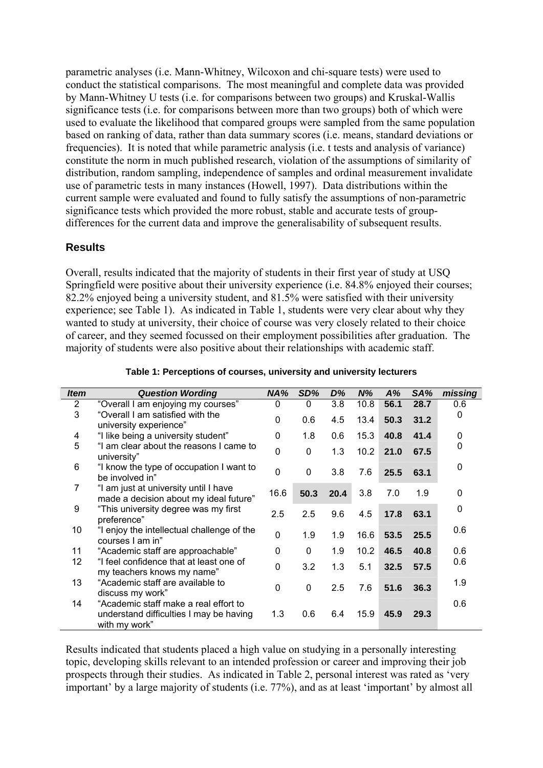parametric analyses (i.e. Mann-Whitney, Wilcoxon and chi-square tests) were used to conduct the statistical comparisons. The most meaningful and complete data was provided by Mann-Whitney U tests (i.e. for comparisons between two groups) and Kruskal-Wallis significance tests (i.e. for comparisons between more than two groups) both of which were used to evaluate the likelihood that compared groups were sampled from the same population based on ranking of data, rather than data summary scores (i.e. means, standard deviations or frequencies). It is noted that while parametric analysis (i.e. t tests and analysis of variance) constitute the norm in much published research, violation of the assumptions of similarity of distribution, random sampling, independence of samples and ordinal measurement invalidate use of parametric tests in many instances (Howell, 1997). Data distributions within the current sample were evaluated and found to fully satisfy the assumptions of non-parametric significance tests which provided the more robust, stable and accurate tests of groupdifferences for the current data and improve the generalisability of subsequent results.

#### **Results**

Overall, results indicated that the majority of students in their first year of study at USQ Springfield were positive about their university experience (i.e. 84.8% enjoyed their courses; 82.2% enjoyed being a university student, and 81.5% were satisfied with their university experience; see Table 1). As indicated in Table 1, students were very clear about why they wanted to study at university, their choice of course was very closely related to their choice of career, and they seemed focussed on their employment possibilities after graduation. The majority of students were also positive about their relationships with academic staff.

| <b>Item</b>    | <b>Question Wording</b>                                                                           | NA%         | SD%         | D%   | $N\%$             | A%   | SA%  | missing  |
|----------------|---------------------------------------------------------------------------------------------------|-------------|-------------|------|-------------------|------|------|----------|
| $\overline{2}$ | "Overall I am enjoying my courses"                                                                | 0           | 0           | 3.8  | 10.8              | 56.1 | 28.7 | 0.6      |
| 3              | "Overall I am satisfied with the<br>university experience"                                        | 0           | 0.6         | 4.5  | 13.4              | 50.3 | 31.2 | 0        |
| 4              | "I like being a university student"                                                               | 0           | 1.8         | 0.6  | 15.3              | 40.8 | 41.4 | 0        |
| 5              | "I am clear about the reasons I came to<br>university"                                            | 0           | 0           | 1.3  | 10.2 <sub>2</sub> | 21.0 | 67.5 | 0        |
| 6              | "I know the type of occupation I want to<br>be involved in"                                       | $\mathbf 0$ | $\mathbf 0$ | 3.8  | 7.6               | 25.5 | 63.1 | 0        |
| $\overline{7}$ | "I am just at university until I have<br>made a decision about my ideal future"                   | 16.6        | 50.3        | 20.4 | 3.8               | 7.0  | 1.9  | $\Omega$ |
| 9              | "This university degree was my first<br>preference"                                               | 2.5         | 2.5         | 9.6  | 4.5               | 17.8 | 63.1 | 0        |
| 10             | "I enjoy the intellectual challenge of the<br>courses I am in"                                    | 0           | 1.9         | 1.9  | 16.6              | 53.5 | 25.5 | 0.6      |
| 11             | "Academic staff are approachable"                                                                 | 0           | $\Omega$    | 1.9  | 10.2              | 46.5 | 40.8 | 0.6      |
| 12             | "I feel confidence that at least one of<br>my teachers knows my name"                             | 0           | 3.2         | 1.3  | 5.1               | 32.5 | 57.5 | 0.6      |
| 13             | "Academic staff are available to<br>discuss my work"                                              | 0           | 0           | 2.5  | 7.6               | 51.6 | 36.3 | 1.9      |
| 14             | "Academic staff make a real effort to<br>understand difficulties I may be having<br>with my work" | 1.3         | 0.6         | 6.4  | 15.9              | 45.9 | 29.3 | 0.6      |

#### **Table 1: Perceptions of courses, university and university lecturers**

Results indicated that students placed a high value on studying in a personally interesting topic, developing skills relevant to an intended profession or career and improving their job prospects through their studies. As indicated in Table 2, personal interest was rated as 'very important' by a large majority of students (i.e. 77%), and as at least 'important' by almost all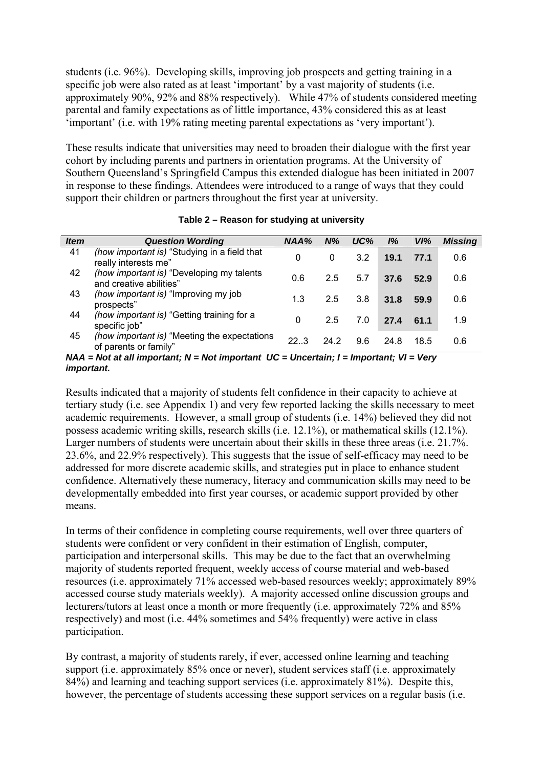students (i.e. 96%). Developing skills, improving job prospects and getting training in a specific job were also rated as at least 'important' by a vast majority of students (i.e. approximately 90%, 92% and 88% respectively). While 47% of students considered meeting parental and family expectations as of little importance, 43% considered this as at least 'important' (i.e. with 19% rating meeting parental expectations as 'very important').

These results indicate that universities may need to broaden their dialogue with the first year cohort by including parents and partners in orientation programs. At the University of Southern Queensland's Springfield Campus this extended dialogue has been initiated in 2007 in response to these findings. Attendees were introduced to a range of ways that they could support their children or partners throughout the first year at university.

| 19.1 |      |     |
|------|------|-----|
|      | 77.1 | 0.6 |
| 37.6 | 52.9 | 0.6 |
| 31.8 | 59.9 | 0.6 |
| 27.4 | 61.1 | 1.9 |
| 24.8 | 18.5 | 0.6 |
|      |      |     |

#### **Table 2 – Reason for studying at university**

Results indicated that a majority of students felt confidence in their capacity to achieve at tertiary study (i.e. see Appendix 1) and very few reported lacking the skills necessary to meet academic requirements. However, a small group of students (i.e. 14%) believed they did not possess academic writing skills, research skills (i.e. 12.1%), or mathematical skills (12.1%). Larger numbers of students were uncertain about their skills in these three areas (i.e. 21.7%. 23.6%, and 22.9% respectively). This suggests that the issue of self-efficacy may need to be addressed for more discrete academic skills, and strategies put in place to enhance student confidence. Alternatively these numeracy, literacy and communication skills may need to be developmentally embedded into first year courses, or academic support provided by other means.

In terms of their confidence in completing course requirements, well over three quarters of students were confident or very confident in their estimation of English, computer, participation and interpersonal skills. This may be due to the fact that an overwhelming majority of students reported frequent, weekly access of course material and web-based resources (i.e. approximately 71% accessed web-based resources weekly; approximately 89% accessed course study materials weekly). A majority accessed online discussion groups and lecturers/tutors at least once a month or more frequently (i.e. approximately 72% and 85% respectively) and most (i.e. 44% sometimes and 54% frequently) were active in class participation.

By contrast, a majority of students rarely, if ever, accessed online learning and teaching support (i.e. approximately 85% once or never), student services staff (i.e. approximately 84%) and learning and teaching support services (i.e. approximately 81%). Despite this, however, the percentage of students accessing these support services on a regular basis (i.e.

*NAA = Not at all important; N = Not important UC = Uncertain; I = Important; VI = Very important.*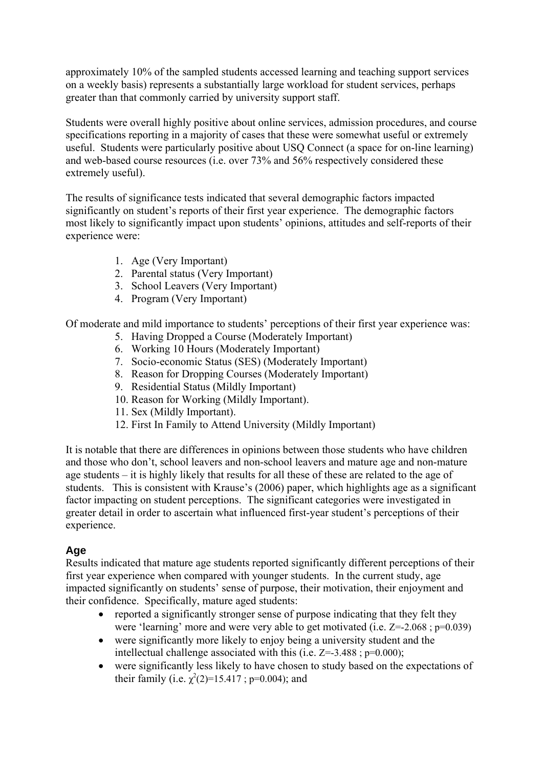approximately 10% of the sampled students accessed learning and teaching support services on a weekly basis) represents a substantially large workload for student services, perhaps greater than that commonly carried by university support staff.

Students were overall highly positive about online services, admission procedures, and course specifications reporting in a majority of cases that these were somewhat useful or extremely useful. Students were particularly positive about USQ Connect (a space for on-line learning) and web-based course resources (i.e. over 73% and 56% respectively considered these extremely useful).

The results of significance tests indicated that several demographic factors impacted significantly on student's reports of their first year experience. The demographic factors most likely to significantly impact upon students' opinions, attitudes and self-reports of their experience were:

- 1. Age (Very Important)
- 2. Parental status (Very Important)
- 3. School Leavers (Very Important)
- 4. Program (Very Important)

Of moderate and mild importance to students' perceptions of their first year experience was:

- 5. Having Dropped a Course (Moderately Important)
- 6. Working 10 Hours (Moderately Important)
- 7. Socio-economic Status (SES) (Moderately Important)
- 8. Reason for Dropping Courses (Moderately Important)
- 9. Residential Status (Mildly Important)
- 10. Reason for Working (Mildly Important).
- 11. Sex (Mildly Important).
- 12. First In Family to Attend University (Mildly Important)

It is notable that there are differences in opinions between those students who have children and those who don't, school leavers and non-school leavers and mature age and non-mature age students – it is highly likely that results for all these of these are related to the age of students. This is consistent with Krause's (2006) paper, which highlights age as a significant factor impacting on student perceptions. The significant categories were investigated in greater detail in order to ascertain what influenced first-year student's perceptions of their experience.

#### **Age**

Results indicated that mature age students reported significantly different perceptions of their first year experience when compared with younger students. In the current study, age impacted significantly on students' sense of purpose, their motivation, their enjoyment and their confidence. Specifically, mature aged students:

- reported a significantly stronger sense of purpose indicating that they felt they were 'learning' more and were very able to get motivated (i.e. Z=-2.068 ; p=0.039)
- were significantly more likely to enjoy being a university student and the intellectual challenge associated with this (i.e.  $Z=-3.488$ ;  $p=0.000$ );
- were significantly less likely to have chosen to study based on the expectations of their family (i.e.  $\chi^2(2)=15.417$ ; p=0.004); and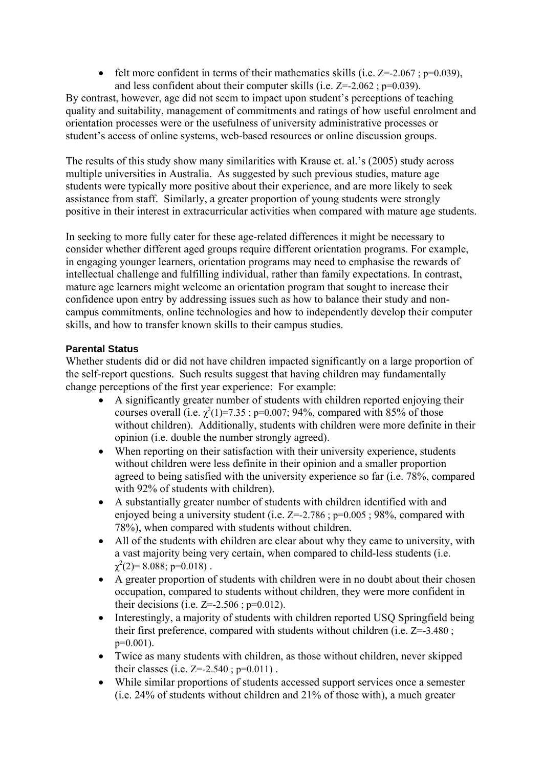• felt more confident in terms of their mathematics skills (i.e.  $Z = -2.067$ ;  $p=0.039$ ), and less confident about their computer skills (i.e.  $Z = -2.062$ ;  $p=0.039$ ).

By contrast, however, age did not seem to impact upon student's perceptions of teaching quality and suitability, management of commitments and ratings of how useful enrolment and orientation processes were or the usefulness of university administrative processes or student's access of online systems, web-based resources or online discussion groups.

The results of this study show many similarities with Krause et. al.'s (2005) study across multiple universities in Australia. As suggested by such previous studies, mature age students were typically more positive about their experience, and are more likely to seek assistance from staff. Similarly, a greater proportion of young students were strongly positive in their interest in extracurricular activities when compared with mature age students.

In seeking to more fully cater for these age-related differences it might be necessary to consider whether different aged groups require different orientation programs. For example, in engaging younger learners, orientation programs may need to emphasise the rewards of intellectual challenge and fulfilling individual, rather than family expectations. In contrast, mature age learners might welcome an orientation program that sought to increase their confidence upon entry by addressing issues such as how to balance their study and noncampus commitments, online technologies and how to independently develop their computer skills, and how to transfer known skills to their campus studies.

#### **Parental Status**

Whether students did or did not have children impacted significantly on a large proportion of the self-report questions. Such results suggest that having children may fundamentally change perceptions of the first year experience: For example:

- A significantly greater number of students with children reported enjoying their courses overall (i.e.  $\chi^2(1)=7.35$ ; p=0.007; 94%, compared with 85% of those without children). Additionally, students with children were more definite in their opinion (i.e. double the number strongly agreed).
- When reporting on their satisfaction with their university experience, students without children were less definite in their opinion and a smaller proportion agreed to being satisfied with the university experience so far (i.e. 78%, compared with 92% of students with children).
- A substantially greater number of students with children identified with and enjoyed being a university student (i.e.  $Z = -2.786$ ;  $p=0.005$ ; 98%, compared with 78%), when compared with students without children.
- All of the students with children are clear about why they came to university, with a vast majority being very certain, when compared to child-less students (i.e.  $\chi^2(2)$ = 8.088; p=0.018).
- A greater proportion of students with children were in no doubt about their chosen occupation, compared to students without children, they were more confident in their decisions (i.e.  $Z = -2.506$ ;  $p = 0.012$ ).
- Interestingly, a majority of students with children reported USQ Springfield being their first preference, compared with students without children (i.e. Z=-3.480 ; p=0.001).
- Twice as many students with children, as those without children, never skipped their classes (i.e.  $Z = -2.540$  ;  $p = 0.011$ ).
- While similar proportions of students accessed support services once a semester (i.e. 24% of students without children and 21% of those with), a much greater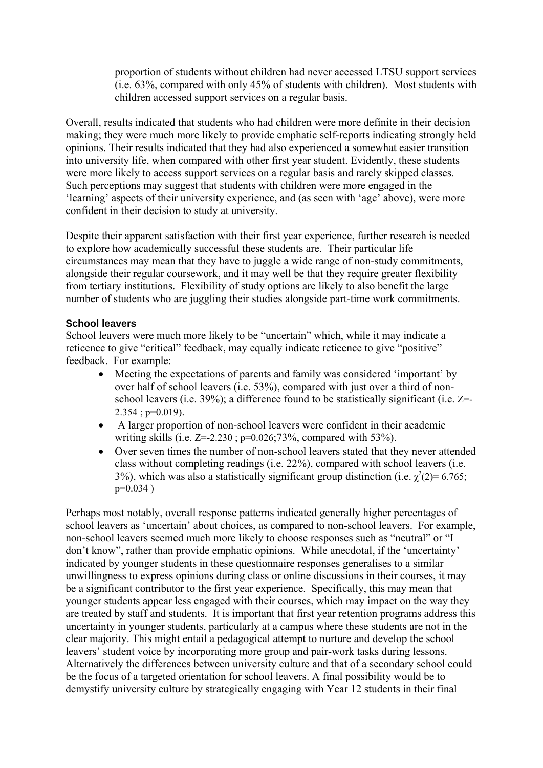proportion of students without children had never accessed LTSU support services (i.e. 63%, compared with only 45% of students with children). Most students with children accessed support services on a regular basis.

Overall, results indicated that students who had children were more definite in their decision making; they were much more likely to provide emphatic self-reports indicating strongly held opinions. Their results indicated that they had also experienced a somewhat easier transition into university life, when compared with other first year student. Evidently, these students were more likely to access support services on a regular basis and rarely skipped classes. Such perceptions may suggest that students with children were more engaged in the 'learning' aspects of their university experience, and (as seen with 'age' above), were more confident in their decision to study at university.

Despite their apparent satisfaction with their first year experience, further research is needed to explore how academically successful these students are. Their particular life circumstances may mean that they have to juggle a wide range of non-study commitments, alongside their regular coursework, and it may well be that they require greater flexibility from tertiary institutions. Flexibility of study options are likely to also benefit the large number of students who are juggling their studies alongside part-time work commitments.

#### **School leavers**

School leavers were much more likely to be "uncertain" which, while it may indicate a reticence to give "critical" feedback, may equally indicate reticence to give "positive" feedback. For example:

- Meeting the expectations of parents and family was considered 'important' by over half of school leavers (i.e. 53%), compared with just over a third of nonschool leavers (i.e. 39%); a difference found to be statistically significant (i.e. Z=-  $2.354$ ; p=0.019).
- A larger proportion of non-school leavers were confident in their academic writing skills (i.e. Z=-2.230 ; p=0.026;73%, compared with 53%).
- Over seven times the number of non-school leavers stated that they never attended class without completing readings (i.e. 22%), compared with school leavers (i.e. 3%), which was also a statistically significant group distinction (i.e.  $\chi^2(2)$ = 6.765; p=0.034 )

Perhaps most notably, overall response patterns indicated generally higher percentages of school leavers as 'uncertain' about choices, as compared to non-school leavers. For example, non-school leavers seemed much more likely to choose responses such as "neutral" or "I don't know", rather than provide emphatic opinions. While anecdotal, if the 'uncertainty' indicated by younger students in these questionnaire responses generalises to a similar unwillingness to express opinions during class or online discussions in their courses, it may be a significant contributor to the first year experience. Specifically, this may mean that younger students appear less engaged with their courses, which may impact on the way they are treated by staff and students. It is important that first year retention programs address this uncertainty in younger students, particularly at a campus where these students are not in the clear majority. This might entail a pedagogical attempt to nurture and develop the school leavers' student voice by incorporating more group and pair-work tasks during lessons. Alternatively the differences between university culture and that of a secondary school could be the focus of a targeted orientation for school leavers. A final possibility would be to demystify university culture by strategically engaging with Year 12 students in their final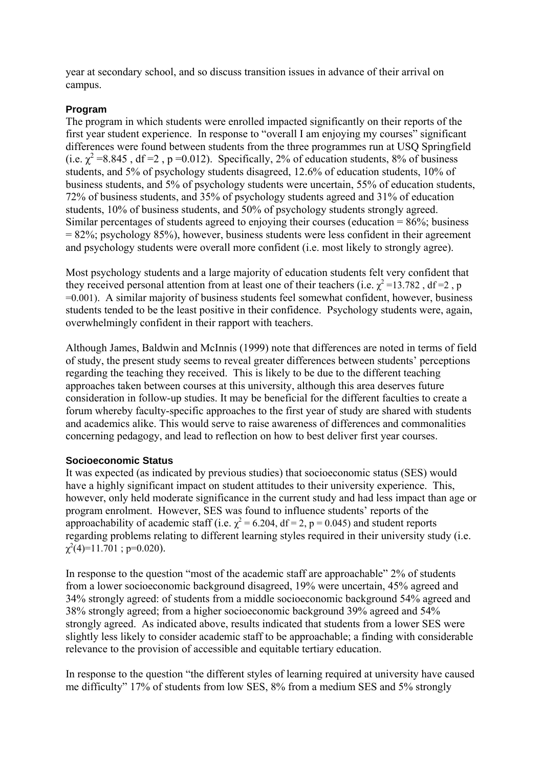year at secondary school, and so discuss transition issues in advance of their arrival on campus.

#### **Program**

The program in which students were enrolled impacted significantly on their reports of the first year student experience. In response to "overall I am enjoying my courses" significant differences were found between students from the three programmes run at USQ Springfield (i.e.  $\chi^2$  =8.845, df =2, p=0.012). Specifically, 2% of education students, 8% of business students, and 5% of psychology students disagreed, 12.6% of education students, 10% of business students, and 5% of psychology students were uncertain, 55% of education students, 72% of business students, and 35% of psychology students agreed and 31% of education students, 10% of business students, and 50% of psychology students strongly agreed. Similar percentages of students agreed to enjoying their courses (education = 86%; business  $= 82\%$ ; psychology 85%), however, business students were less confident in their agreement and psychology students were overall more confident (i.e. most likely to strongly agree).

Most psychology students and a large majority of education students felt very confident that they received personal attention from at least one of their teachers (i.e.  $\chi^2$  =13.782, df =2, p =0.001). A similar majority of business students feel somewhat confident, however, business students tended to be the least positive in their confidence. Psychology students were, again, overwhelmingly confident in their rapport with teachers.

Although James, Baldwin and McInnis (1999) note that differences are noted in terms of field of study, the present study seems to reveal greater differences between students' perceptions regarding the teaching they received. This is likely to be due to the different teaching approaches taken between courses at this university, although this area deserves future consideration in follow-up studies. It may be beneficial for the different faculties to create a forum whereby faculty-specific approaches to the first year of study are shared with students and academics alike. This would serve to raise awareness of differences and commonalities concerning pedagogy, and lead to reflection on how to best deliver first year courses.

#### **Socioeconomic Status**

It was expected (as indicated by previous studies) that socioeconomic status (SES) would have a highly significant impact on student attitudes to their university experience. This, however, only held moderate significance in the current study and had less impact than age or program enrolment. However, SES was found to influence students' reports of the approachability of academic staff (i.e.  $\chi^2$  = 6.204, df = 2, p = 0.045) and student reports regarding problems relating to different learning styles required in their university study (i.e.  $\chi^2(4)=11.701$ ; p=0.020).

In response to the question "most of the academic staff are approachable" 2% of students from a lower socioeconomic background disagreed, 19% were uncertain, 45% agreed and 34% strongly agreed: of students from a middle socioeconomic background 54% agreed and 38% strongly agreed; from a higher socioeconomic background 39% agreed and 54% strongly agreed. As indicated above, results indicated that students from a lower SES were slightly less likely to consider academic staff to be approachable; a finding with considerable relevance to the provision of accessible and equitable tertiary education.

In response to the question "the different styles of learning required at university have caused me difficulty" 17% of students from low SES, 8% from a medium SES and 5% strongly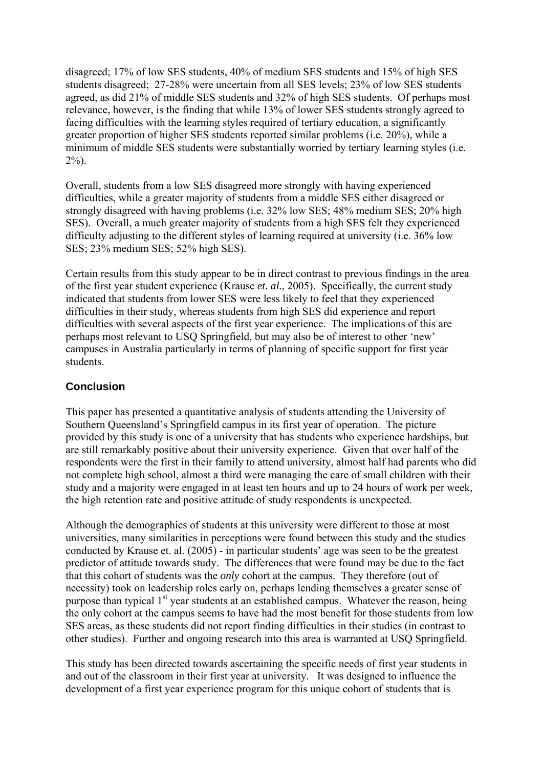disagreed; 17% of low SES students, 40% of medium SES students and 15% of high SES students disagreed; 27-28% were uncertain from all SES levels; 23% of low SES students agreed, as did 21% of middle SES students and 32% of high SES students. Of perhaps most relevance, however, is the finding that while 13% of lower SES students strongly agreed to facing difficulties with the learning styles required of tertiary education, a significantly greater proportion of higher SES students reported similar problems (i.e. 20%), while a minimum of middle SES students were substantially worried by tertiary learning styles (i.e.  $2\%$ ).

Overall, students from a low SES disagreed more strongly with having experienced difficulties, while a greater majority of students from a middle SES either disagreed or strongly disagreed with having problems (i.e. 32% low SES; 48% medium SES; 20% high SES). Overall, a much greater majority of students from a high SES felt they experienced difficulty adjusting to the different styles of learning required at university (i.e. 36% low SES; 23% medium SES; 52% high SES).

Certain results from this study appear to be in direct contrast to previous findings in the area of the first year student experience (Krause *et. al.*, 2005). Specifically, the current study indicated that students from lower SES were less likely to feel that they experienced difficulties in their study, whereas students from high SES did experience and report difficulties with several aspects of the first year experience. The implications of this are perhaps most relevant to USQ Springfield, but may also be of interest to other 'new' campuses in Australia particularly in terms of planning of specific support for first year students.

#### **Conclusion**

This paper has presented a quantitative analysis of students attending the University of Southern Queensland's Springfield campus in its first year of operation. The picture provided by this study is one of a university that has students who experience hardships, but are still remarkably positive about their university experience. Given that over half of the respondents were the first in their family to attend university, almost half had parents who did not complete high school, almost a third were managing the care of small children with their study and a majority were engaged in at least ten hours and up to 24 hours of work per week, the high retention rate and positive attitude of study respondents is unexpected.

Although the demographics of students at this university were different to those at most universities, many similarities in perceptions were found between this study and the studies conducted by Krause et. al. (2005) - in particular students' age was seen to be the greatest predictor of attitude towards study. The differences that were found may be due to the fact that this cohort of students was the *only* cohort at the campus. They therefore (out of necessity) took on leadership roles early on, perhaps lending themselves a greater sense of purpose than typical 1<sup>st</sup> year students at an established campus. Whatever the reason, being the only cohort at the campus seems to have had the most benefit for those students from low SES areas, as these students did not report finding difficulties in their studies (in contrast to other studies). Further and ongoing research into this area is warranted at USQ Springfield.

This study has been directed towards ascertaining the specific needs of first year students in and out of the classroom in their first year at university. It was designed to influence the development of a first year experience program for this unique cohort of students that is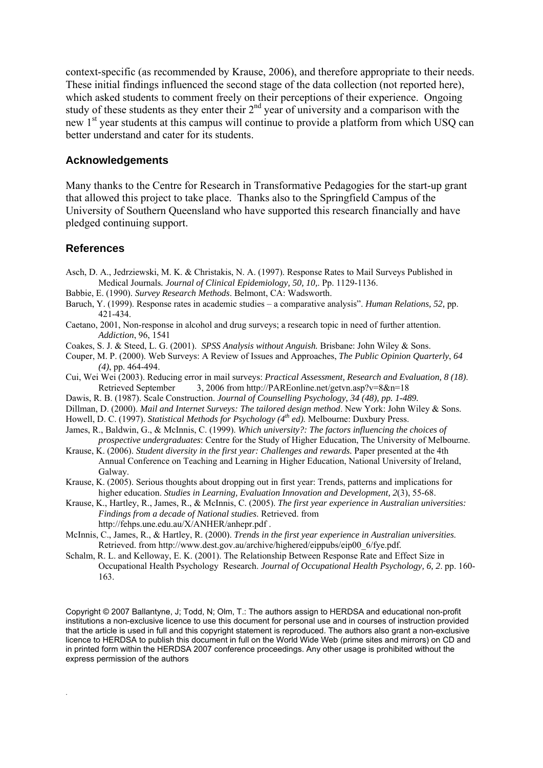context-specific (as recommended by Krause, 2006), and therefore appropriate to their needs. These initial findings influenced the second stage of the data collection (not reported here), which asked students to comment freely on their perceptions of their experience. Ongoing study of these students as they enter their  $2<sup>nd</sup>$  year of university and a comparison with the new 1<sup>st</sup> year students at this campus will continue to provide a platform from which USQ can better understand and cater for its students.

#### **Acknowledgements**

Many thanks to the Centre for Research in Transformative Pedagogies for the start-up grant that allowed this project to take place. Thanks also to the Springfield Campus of the University of Southern Queensland who have supported this research financially and have pledged continuing support.

#### **References**

.

- Asch, D. A., Jedrziewski, M. K. & Christakis, N. A. (1997). Response Rates to Mail Surveys Published in Medical Journals*. Journal of Clinical Epidemiology, 50, 10,*. Pp. 1129-1136.
- Babbie, E. (1990). *Survey Research Methods*. Belmont, CA: Wadsworth.
- Baruch, Y. (1999). Response rates in academic studies a comparative analysis". *Human Relations, 52,* pp. 421-434.
- Caetano, 2001, Non-response in alcohol and drug surveys; a research topic in need of further attention. *Addiction*, 96, 1541
- Coakes, S. J. & Steed, L. G. (2001). *SPSS Analysis without Anguish.* Brisbane: John Wiley & Sons.
- Couper, M. P. (2000). Web Surveys: A Review of Issues and Approaches, *The Public Opinion Quarterly*, *64 (4)*, pp. 464-494.
- Cui, Wei Wei (2003). Reducing error in mail surveys: *Practical Assessment, Research and Evaluation, 8 (18)*. Retrieved September 3, 2006 from http://PAREonline.net/getvn.asp?v=8&n=18
- Dawis, R. B. (1987). Scale Construction. *Journal of Counselling Psychology, 34 (48), pp. 1-489.*
- Dillman, D. (2000). *Mail and Internet Surveys: The tailored design method*. New York: John Wiley & Sons.
- Howell, D. C. (1997). *Statistical Methods for Psychology (4<sup>th</sup> ed)*. Melbourne: Duxbury Press.
- James, R., Baldwin, G., & McInnis, C. (1999). *Which university?: The factors influencing the choices of prospective undergraduates*: Centre for the Study of Higher Education, The University of Melbourne.
- Krause, K. (2006). *Student diversity in the first year: Challenges and rewards.* Paper presented at the 4th Annual Conference on Teaching and Learning in Higher Education, National University of Ireland, Galway.
- Krause, K. (2005). Serious thoughts about dropping out in first year: Trends, patterns and implications for higher education. *Studies in Learning, Evaluation Innovation and Development, 2*(3), 55-68.
- Krause, K., Hartley, R., James, R., & McInnis, C. (2005). *The first year experience in Australian universities: Findings from a decade of National studies*. Retrieved. from http://fehps.une.edu.au/X/ANHER/anhepr.pdf .
- McInnis, C., James, R., & Hartley, R. (2000). *Trends in the first year experience in Australian universities*. Retrieved. from http://www.dest.gov.au/archive/highered/eippubs/eip00\_6/fye.pdf.
- Schalm, R. L. and Kelloway, E. K. (2001). The Relationship Between Response Rate and Effect Size in Occupational Health Psychology Research. *Journal of Occupational Health Psychology, 6, 2*. pp. 160- 163.

Copyright © 2007 Ballantyne, J; Todd, N; Olm, T.: The authors assign to HERDSA and educational non-profit institutions a non-exclusive licence to use this document for personal use and in courses of instruction provided that the article is used in full and this copyright statement is reproduced. The authors also grant a non-exclusive licence to HERDSA to publish this document in full on the World Wide Web (prime sites and mirrors) on CD and in printed form within the HERDSA 2007 conference proceedings. Any other usage is prohibited without the express permission of the authors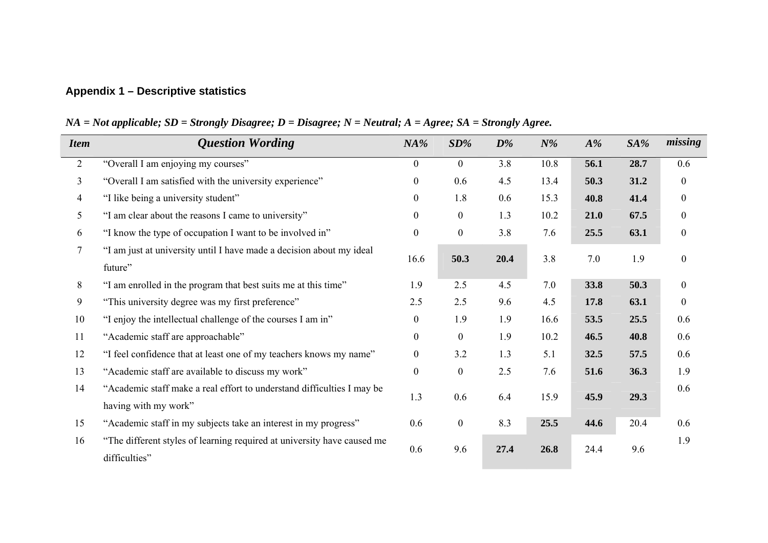# **Appendix 1 – Descriptive statistics**

| <b>Item</b>    | <b>Question Wording</b>                                                                        | NA%              | $SD\%$           | $\bm{D\%}$ | $N\%$ | A%   | SA%  | missing          |
|----------------|------------------------------------------------------------------------------------------------|------------------|------------------|------------|-------|------|------|------------------|
| $\overline{2}$ | "Overall I am enjoying my courses"                                                             | $\overline{0}$   | $\boldsymbol{0}$ | 3.8        | 10.8  | 56.1 | 28.7 | 0.6              |
| 3              | "Overall I am satisfied with the university experience"                                        | $\theta$         | 0.6              | 4.5        | 13.4  | 50.3 | 31.2 | $\overline{0}$   |
| $\overline{4}$ | "I like being a university student"                                                            | $\theta$         | 1.8              | 0.6        | 15.3  | 40.8 | 41.4 | $\theta$         |
| 5              | "I am clear about the reasons I came to university"                                            | $\boldsymbol{0}$ | $\boldsymbol{0}$ | 1.3        | 10.2  | 21.0 | 67.5 | $\theta$         |
| 6              | "I know the type of occupation I want to be involved in"                                       | $\boldsymbol{0}$ | $\boldsymbol{0}$ | 3.8        | 7.6   | 25.5 | 63.1 | $\boldsymbol{0}$ |
| $\tau$         | "I am just at university until I have made a decision about my ideal<br>future"                | 16.6             | 50.3             | 20.4       | 3.8   | 7.0  | 1.9  | $\theta$         |
| 8              | "I am enrolled in the program that best suits me at this time"                                 | 1.9              | 2.5              | 4.5        | 7.0   | 33.8 | 50.3 | $\theta$         |
| 9              | "This university degree was my first preference"                                               | 2.5              | 2.5              | 9.6        | 4.5   | 17.8 | 63.1 | $\overline{0}$   |
| 10             | "I enjoy the intellectual challenge of the courses I am in"                                    | $\overline{0}$   | 1.9              | 1.9        | 16.6  | 53.5 | 25.5 | 0.6              |
| 11             | "Academic staff are approachable"                                                              | $\overline{0}$   | $\boldsymbol{0}$ | 1.9        | 10.2  | 46.5 | 40.8 | 0.6              |
| 12             | "I feel confidence that at least one of my teachers knows my name"                             | $\boldsymbol{0}$ | 3.2              | 1.3        | 5.1   | 32.5 | 57.5 | 0.6              |
| 13             | "Academic staff are available to discuss my work"                                              | $\boldsymbol{0}$ | $\boldsymbol{0}$ | 2.5        | 7.6   | 51.6 | 36.3 | 1.9              |
| 14             | "Academic staff make a real effort to understand difficulties I may be<br>having with my work" | 1.3              | 0.6              | 6.4        | 15.9  | 45.9 | 29.3 | 0.6              |
| 15             | "Academic staff in my subjects take an interest in my progress"                                | 0.6              | $\boldsymbol{0}$ | 8.3        | 25.5  | 44.6 | 20.4 | 0.6              |
| 16             | "The different styles of learning required at university have caused me<br>difficulties"       | 0.6              | 9.6              | 27.4       | 26.8  | 24.4 | 9.6  | 1.9              |

*NA = Not applicable; SD = Strongly Disagree; D = Disagree; N = Neutral; A = Agree; SA = Strongly Agree.*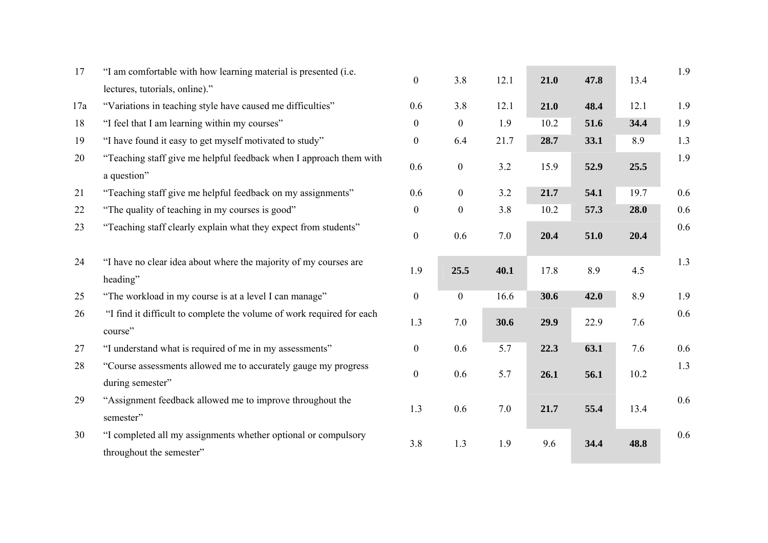| 17  | "I am comfortable with how learning material is presented (i.e.                            | $\boldsymbol{0}$ | 3.8              | 12.1 | 21.0 | 47.8 | 13.4 | 1.9 |
|-----|--------------------------------------------------------------------------------------------|------------------|------------------|------|------|------|------|-----|
|     | lectures, tutorials, online)."                                                             |                  |                  |      |      |      |      |     |
| 17a | "Variations in teaching style have caused me difficulties"                                 | 0.6              | 3.8              | 12.1 | 21.0 | 48.4 | 12.1 | 1.9 |
| 18  | "I feel that I am learning within my courses"                                              | $\mathbf{0}$     | $\mathbf{0}$     | 1.9  | 10.2 | 51.6 | 34.4 | 1.9 |
| 19  | "I have found it easy to get myself motivated to study"                                    | $\boldsymbol{0}$ | 6.4              | 21.7 | 28.7 | 33.1 | 8.9  | 1.3 |
| 20  | "Teaching staff give me helpful feedback when I approach them with<br>a question"          | 0.6              | $\mathbf{0}$     | 3.2  | 15.9 | 52.9 | 25.5 | 1.9 |
| 21  | "Teaching staff give me helpful feedback on my assignments"                                | 0.6              | $\boldsymbol{0}$ | 3.2  | 21.7 | 54.1 | 19.7 | 0.6 |
| 22  | "The quality of teaching in my courses is good"                                            | $\mathbf{0}$     | $\overline{0}$   | 3.8  | 10.2 | 57.3 | 28.0 | 0.6 |
| 23  | "Teaching staff clearly explain what they expect from students"                            | $\boldsymbol{0}$ | 0.6              | 7.0  | 20.4 | 51.0 | 20.4 | 0.6 |
| 24  | "I have no clear idea about where the majority of my courses are<br>heading"               | 1.9              | 25.5             | 40.1 | 17.8 | 8.9  | 4.5  | 1.3 |
| 25  | "The workload in my course is at a level I can manage"                                     | $\mathbf{0}$     | $\mathbf{0}$     | 16.6 | 30.6 | 42.0 | 8.9  | 1.9 |
| 26  | "I find it difficult to complete the volume of work required for each<br>course"           | 1.3              | 7.0              | 30.6 | 29.9 | 22.9 | 7.6  | 0.6 |
| 27  | "I understand what is required of me in my assessments"                                    | $\boldsymbol{0}$ | 0.6              | 5.7  | 22.3 | 63.1 | 7.6  | 0.6 |
| 28  | "Course assessments allowed me to accurately gauge my progress<br>during semester"         | $\boldsymbol{0}$ | 0.6              | 5.7  | 26.1 | 56.1 | 10.2 | 1.3 |
| 29  | "Assignment feedback allowed me to improve throughout the<br>semester"                     | 1.3              | 0.6              | 7.0  | 21.7 | 55.4 | 13.4 | 0.6 |
| 30  | "I completed all my assignments whether optional or compulsory<br>throughout the semester" | 3.8              | 1.3              | 1.9  | 9.6  | 34.4 | 48.8 | 0.6 |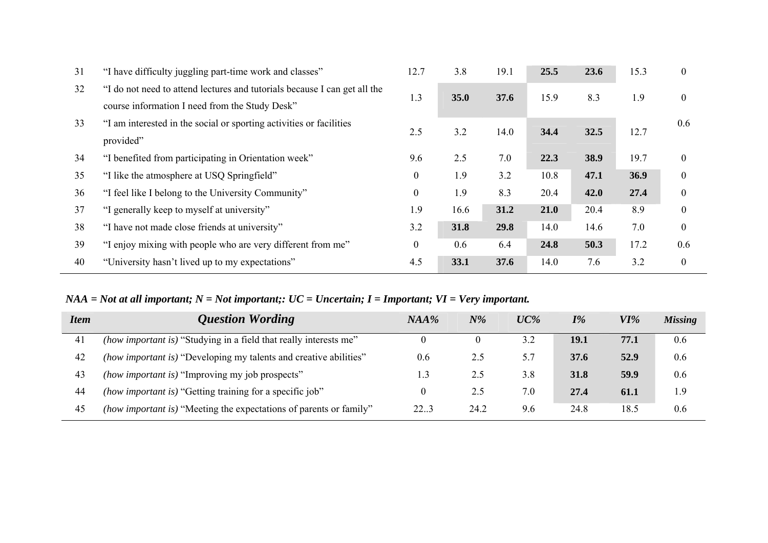| 31 | "I have difficulty juggling part-time work and classes"                   | 12.7             | 3.8  | 19.1 | 25.5 | 23.6 | 15.3 | $\theta$         |
|----|---------------------------------------------------------------------------|------------------|------|------|------|------|------|------------------|
| 32 | "I do not need to attend lectures and tutorials because I can get all the | 1.3              | 35.0 | 37.6 | 15.9 | 8.3  | 1.9  | $\overline{0}$   |
|    | course information I need from the Study Desk"                            |                  |      |      |      |      |      |                  |
| 33 | "I am interested in the social or sporting activities or facilities       | 2.5              | 3.2  | 14.0 |      |      | 12.7 | 0.6              |
|    | provided"                                                                 |                  |      |      | 34.4 | 32.5 |      |                  |
| 34 | "I benefited from participating in Orientation week"                      | 9.6              | 2.5  | 7.0  | 22.3 | 38.9 | 19.7 | $\boldsymbol{0}$ |
| 35 | "I like the atmosphere at USQ Springfield"                                | $\boldsymbol{0}$ | 1.9  | 3.2  | 10.8 | 47.1 | 36.9 | $\theta$         |
| 36 | "I feel like I belong to the University Community"                        | $\theta$         | 1.9  | 8.3  | 20.4 | 42.0 | 27.4 | $\theta$         |
| 37 | "I generally keep to myself at university"                                | 1.9              | 16.6 | 31.2 | 21.0 | 20.4 | 8.9  | $\theta$         |
| 38 | "I have not made close friends at university"                             | 3.2              | 31.8 | 29.8 | 14.0 | 14.6 | 7.0  | $\theta$         |
| 39 | "I enjoy mixing with people who are very different from me"               | $\mathbf{0}$     | 0.6  | 6.4  | 24.8 | 50.3 | 17.2 | 0.6              |
| 40 | "University hasn't lived up to my expectations"                           | 4.5              | 33.1 | 37.6 | 14.0 | 7.6  | 3.2  | $\boldsymbol{0}$ |
|    |                                                                           |                  |      |      |      |      |      |                  |

# *NAA = Not at all important; N = Not important;: UC = Uncertain; I = Important; VI = Very important.*

| <b>Item</b> | <b>Question Wording</b>                                            | NAA% | $N\%$ | $UC\%$ | $I\%$       | VI%  | <b>Missing</b> |
|-------------|--------------------------------------------------------------------|------|-------|--------|-------------|------|----------------|
| 41          | (how important is) "Studying in a field that really interests me"  |      |       | 3.2    | <b>19.1</b> | 77.1 | 0.6            |
| 42          | (how important is) "Developing my talents and creative abilities"  | 0.6  | 2.5   | 5.7    | 37.6        | 52.9 | 0.6            |
| 43          | (how important is) "Improving my job prospects"                    | 1.3  | 2.5   | 3.8    | 31.8        | 59.9 | 0.6            |
| 44          | (how important is) "Getting training for a specific job"           |      | 2.5   | 7.0    | 27.4        | 61.1 | 1.9            |
| 45          | (how important is) "Meeting the expectations of parents or family" | 22.3 | 24.2  | 9.6    | 24.8        | 18.5 | 0.6            |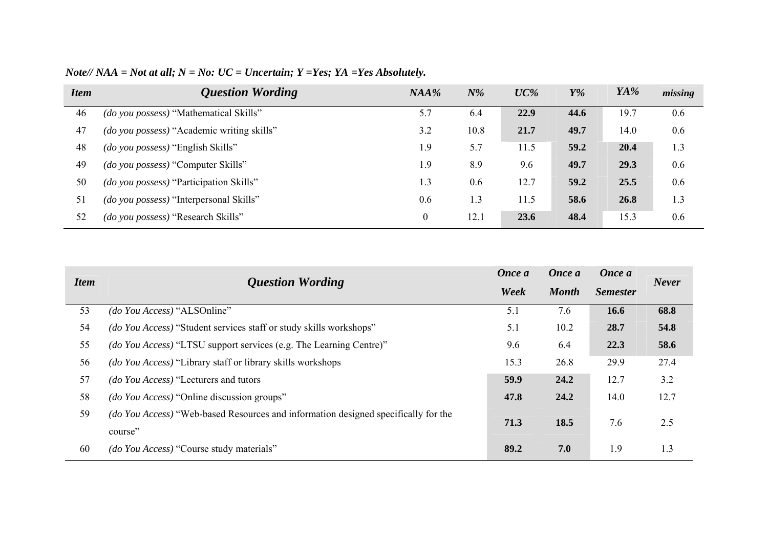| <b>Item</b> | <b>Question Wording</b>                           | NAA%             | $N\%$ | $UC\%$ | $Y\%$ | YA%  | missing |
|-------------|---------------------------------------------------|------------------|-------|--------|-------|------|---------|
| 46          | (do you possess) "Mathematical Skills"            | 5.7              | 6.4   | 22.9   | 44.6  | 19.7 | 0.6     |
| 47          | <i>(do you possess)</i> "Academic writing skills" | 3.2              | 10.8  | 21.7   | 49.7  | 14.0 | 0.6     |
| 48          | (do you possess) "English Skills"                 | 1.9              | 5.7   | 11.5   | 59.2  | 20.4 | 1.3     |
| 49          | <i>(do you possess)</i> "Computer Skills"         | 1.9              | 8.9   | 9.6    | 49.7  | 29.3 | 0.6     |
| 50          | (do you possess) "Participation Skills"           | 1.3              | 0.6   | 12.7   | 59.2  | 25.5 | 0.6     |
| 51          | <i>(do you possess)</i> "Interpersonal Skills"    | 0.6              | 1.3   | 11.5   | 58.6  | 26.8 | 1.3     |
| 52          | <i>(do you possess)</i> "Research Skills"         | $\boldsymbol{0}$ | 12.1  | 23.6   | 48.4  | 15.3 | 0.6     |

*Note// NAA = Not at all; N = No: UC = Uncertain; Y =Yes; YA =Yes Absolutely.* 

|    | Once a<br><b>Question Wording</b><br><b>Item</b>                                   |      | Once a       | Once a          | <b>Never</b> |
|----|------------------------------------------------------------------------------------|------|--------------|-----------------|--------------|
|    |                                                                                    | Week | <b>Month</b> | <b>Semester</b> |              |
| 53 | (do You Access) "ALSOnline"                                                        | 5.1  | 7.6          | 16.6            | 68.8         |
| 54 | (do You Access) "Student services staff or study skills workshops"                 | 5.1  | 10.2         | 28.7            | 54.8         |
| 55 | (do You Access) "LTSU support services (e.g. The Learning Centre)"                 | 9.6  | 6.4          | 22.3            | 58.6         |
| 56 | <i>(do You Access)</i> "Library staff or library skills workshops                  | 15.3 | 26.8         | 29.9            | 27.4         |
| 57 | <i>(do You Access)</i> "Lecturers and tutors                                       | 59.9 | 24.2         | 12.7            | 3.2          |
| 58 | <i>(do You Access)</i> "Online discussion groups"                                  | 47.8 | 24.2         | 14.0            | 12.7         |
| 59 | (do You Access) "Web-based Resources and information designed specifically for the | 71.3 | 18.5         | 7.6             | 2.5          |
|    | course"                                                                            |      |              |                 |              |
| 60 | <i>(do You Access)</i> "Course study materials"                                    | 89.2 | 7.0          | 1.9             | 1.3          |